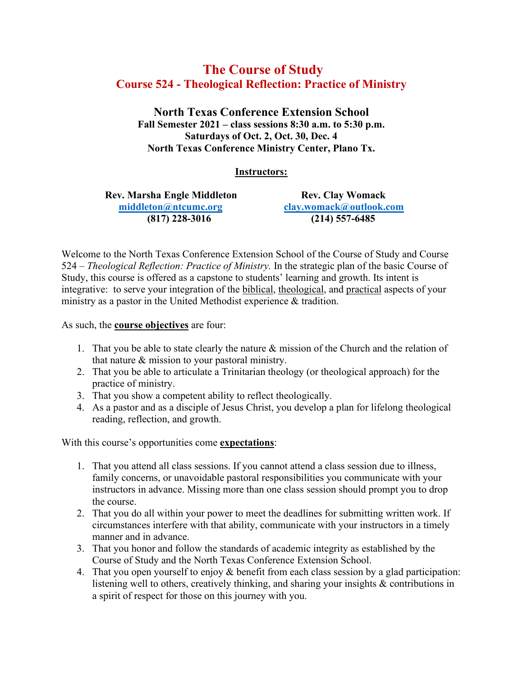# **The Course of Study Course 524 - Theological Reflection: Practice of Ministry**

**North Texas Conference Extension School Fall Semester 2021 – class sessions 8:30 a.m. to 5:30 p.m. Saturdays of Oct. 2, Oct. 30, Dec. 4 North Texas Conference Ministry Center, Plano Tx.**

## **Instructors:**

**Rev. Marsha Engle Middleton Rev. Clay Womack [middleton@ntcumc.org](mailto:middleton@ntcumc.org) [clay.womack@outlook.com](mailto:clay.womack@outlook.com)**

**(817) 228-3016 (214) 557-6485**

Welcome to the North Texas Conference Extension School of the Course of Study and Course 524 – *Theological Reflection: Practice of Ministry.* In the strategic plan of the basic Course of Study, this course is offered as a capstone to students' learning and growth. Its intent is integrative: to serve your integration of the biblical, theological, and practical aspects of your ministry as a pastor in the United Methodist experience & tradition.

As such, the **course objectives** are four:

- 1. That you be able to state clearly the nature & mission of the Church and the relation of that nature & mission to your pastoral ministry.
- 2. That you be able to articulate a Trinitarian theology (or theological approach) for the practice of ministry.
- 3. That you show a competent ability to reflect theologically.
- 4. As a pastor and as a disciple of Jesus Christ, you develop a plan for lifelong theological reading, reflection, and growth.

With this course's opportunities come **expectations**:

- 1. That you attend all class sessions. If you cannot attend a class session due to illness, family concerns, or unavoidable pastoral responsibilities you communicate with your instructors in advance. Missing more than one class session should prompt you to drop the course.
- 2. That you do all within your power to meet the deadlines for submitting written work. If circumstances interfere with that ability, communicate with your instructors in a timely manner and in advance.
- 3. That you honor and follow the standards of academic integrity as established by the Course of Study and the North Texas Conference Extension School.
- 4. That you open yourself to enjoy & benefit from each class session by a glad participation: listening well to others, creatively thinking, and sharing your insights & contributions in a spirit of respect for those on this journey with you.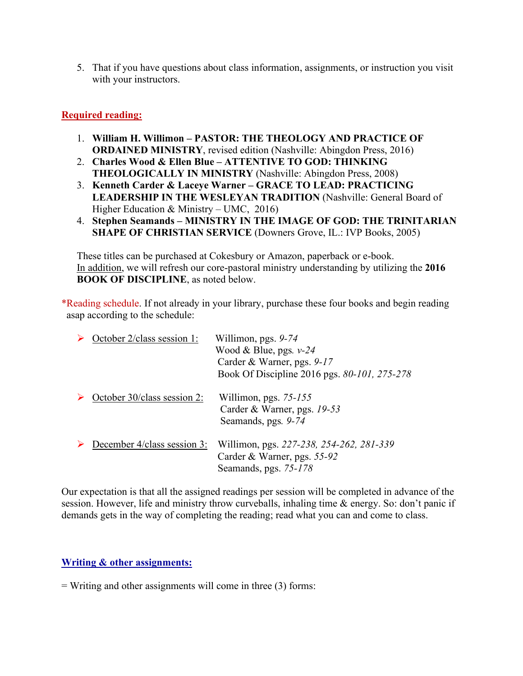5. That if you have questions about class information, assignments, or instruction you visit with your instructors.

# **Required reading:**

- 1. **William H. Willimon – PASTOR: THE THEOLOGY AND PRACTICE OF ORDAINED MINISTRY**, revised edition (Nashville: Abingdon Press, 2016)
- 2. **Charles Wood & Ellen Blue – ATTENTIVE TO GOD: THINKING THEOLOGICALLY IN MINISTRY** (Nashville: Abingdon Press, 2008)
- 3. **Kenneth Carder & Laceye Warner – GRACE TO LEAD: PRACTICING LEADERSHIP IN THE WESLEYAN TRADITION** (Nashville: General Board of Higher Education & Ministry – UMC, 2016)
- 4. **Stephen Seamands – MINISTRY IN THE IMAGE OF GOD: THE TRINITARIAN SHAPE OF CHRISTIAN SERVICE** (Downers Grove, IL.: IVP Books, 2005)

These titles can be purchased at Cokesbury or Amazon, paperback or e-book. In addition, we will refresh our core-pastoral ministry understanding by utilizing the **2016 BOOK OF DISCIPLINE**, as noted below.

\*Reading schedule. If not already in your library, purchase these four books and begin reading asap according to the schedule:

| October 2/class session 1:  | Willimon, pgs. $9-74$<br>Wood & Blue, pgs. $v-24$<br>Carder & Warner, pgs. 9-17<br>Book Of Discipline 2016 pgs. 80-101, 275-278 |
|-----------------------------|---------------------------------------------------------------------------------------------------------------------------------|
| October 30/class session 2: | Willimon, pgs. $75-155$<br>Carder & Warner, pgs. 19-53<br>Seamands, pgs. 9-74                                                   |
| December 4/class session 3: | Willimon, pgs. 227-238, 254-262, 281-339<br>Carder & Warner, pgs. 55-92<br>Seamands, pgs. 75-178                                |

Our expectation is that all the assigned readings per session will be completed in advance of the session. However, life and ministry throw curveballs, inhaling time & energy. So: don't panic if demands gets in the way of completing the reading; read what you can and come to class.

## **Writing & other assignments:**

 $=$  Writing and other assignments will come in three (3) forms: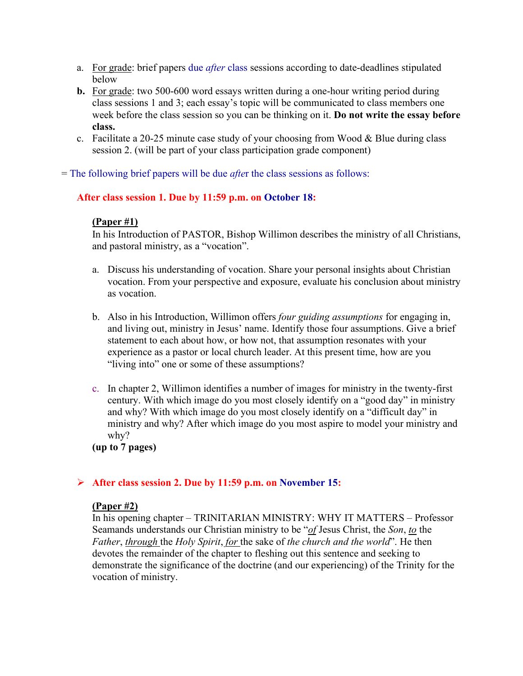- a. For grade: brief papers due *after* class sessions according to date-deadlines stipulated below
- **b.** For grade: two 500-600 word essays written during a one-hour writing period during class sessions 1 and 3; each essay's topic will be communicated to class members one week before the class session so you can be thinking on it. **Do not write the essay before class.**
- c. Facilitate a 20-25 minute case study of your choosing from Wood  $&$  Blue during class session 2. (will be part of your class participation grade component)

= The following brief papers will be due *afte*r the class sessions as follows:

## **After class session 1. Due by 11:59 p.m. on October 18:**

#### **(Paper #1)**

In his Introduction of PASTOR, Bishop Willimon describes the ministry of all Christians, and pastoral ministry, as a "vocation".

- a. Discuss his understanding of vocation. Share your personal insights about Christian vocation. From your perspective and exposure, evaluate his conclusion about ministry as vocation.
- b. Also in his Introduction, Willimon offers *four guiding assumptions* for engaging in, and living out, ministry in Jesus' name. Identify those four assumptions. Give a brief statement to each about how, or how not, that assumption resonates with your experience as a pastor or local church leader. At this present time, how are you "living into" one or some of these assumptions?
- c. In chapter 2, Willimon identifies a number of images for ministry in the twenty-first century. With which image do you most closely identify on a "good day" in ministry and why? With which image do you most closely identify on a "difficult day" in ministry and why? After which image do you most aspire to model your ministry and why?

**(up to 7 pages)**

## **After class session 2. Due by 11:59 p.m. on November 15:**

#### **(Paper #2)**

In his opening chapter – TRINITARIAN MINISTRY: WHY IT MATTERS – Professor Seamands understands our Christian ministry to be "*of* Jesus Christ, the *Son*, *to* the *Father*, *through* the *Holy Spirit*, *for* the sake of *the church and the world*". He then devotes the remainder of the chapter to fleshing out this sentence and seeking to demonstrate the significance of the doctrine (and our experiencing) of the Trinity for the vocation of ministry.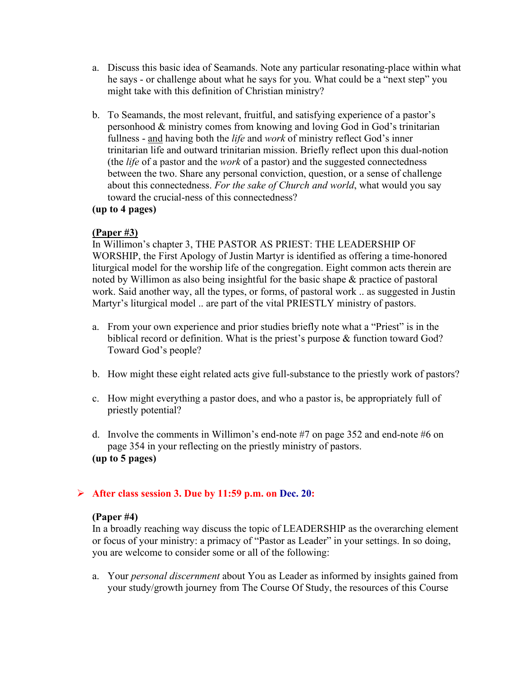- a. Discuss this basic idea of Seamands. Note any particular resonating-place within what he says - or challenge about what he says for you. What could be a "next step" you might take with this definition of Christian ministry?
- b. To Seamands, the most relevant, fruitful, and satisfying experience of a pastor's personhood & ministry comes from knowing and loving God in God's trinitarian fullness - and having both the *life* and *work* of ministry reflect God's inner trinitarian life and outward trinitarian mission. Briefly reflect upon this dual-notion (the *life* of a pastor and the *work* of a pastor) and the suggested connectedness between the two. Share any personal conviction, question, or a sense of challenge about this connectedness. *For the sake of Church and world*, what would you say toward the crucial-ness of this connectedness?

# **(up to 4 pages)**

## **(Paper #3)**

In Willimon's chapter 3, THE PASTOR AS PRIEST: THE LEADERSHIP OF WORSHIP, the First Apology of Justin Martyr is identified as offering a time-honored liturgical model for the worship life of the congregation. Eight common acts therein are noted by Willimon as also being insightful for the basic shape & practice of pastoral work. Said another way, all the types, or forms, of pastoral work .. as suggested in Justin Martyr's liturgical model .. are part of the vital PRIESTLY ministry of pastors.

- a. From your own experience and prior studies briefly note what a "Priest" is in the biblical record or definition. What is the priest's purpose & function toward God? Toward God's people?
- b. How might these eight related acts give full-substance to the priestly work of pastors?
- c. How might everything a pastor does, and who a pastor is, be appropriately full of priestly potential?
- d. Involve the comments in Willimon's end-note #7 on page 352 and end-note #6 on page 354 in your reflecting on the priestly ministry of pastors. **(up to 5 pages)**

## **After class session 3. Due by 11:59 p.m. on Dec. 20:**

## **(Paper #4)**

In a broadly reaching way discuss the topic of LEADERSHIP as the overarching element or focus of your ministry: a primacy of "Pastor as Leader" in your settings. In so doing, you are welcome to consider some or all of the following:

a. Your *personal discernment* about You as Leader as informed by insights gained from your study/growth journey from The Course Of Study, the resources of this Course